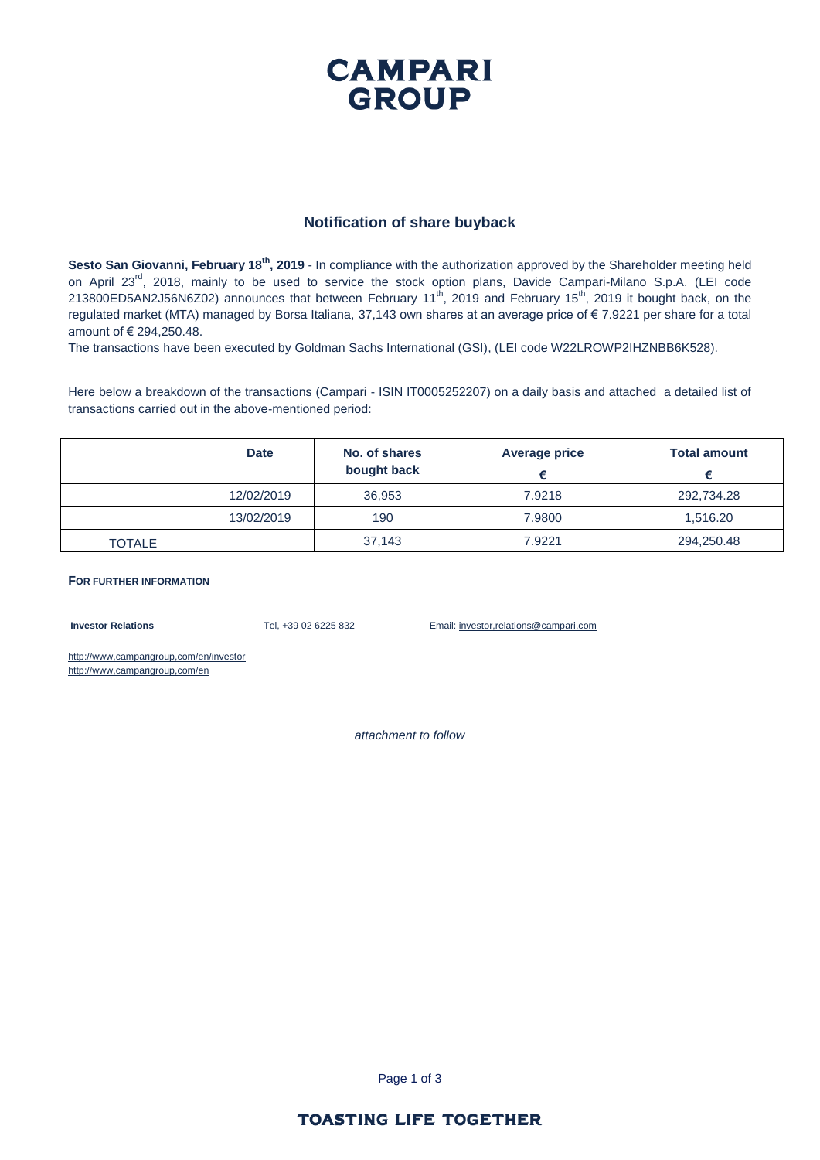## **CAMPARI GROUP**

#### **Notification of share buyback**

**Sesto San Giovanni, February 18th, 2019** - In compliance with the authorization approved by the Shareholder meeting held on April 23<sup>rd</sup>, 2018, mainly to be used to service the stock option plans, Davide Campari-Milano S.p.A. (LEI code 213800ED5AN2J56N6Z02) announces that between February 11<sup>th</sup>, 2019 and February 15<sup>th</sup>, 2019 it bought back, on the regulated market (MTA) managed by Borsa Italiana, 37,143 own shares at an average price of € 7.9221 per share for a total amount of € 294,250.48.

The transactions have been executed by Goldman Sachs International (GSI), (LEI code W22LROWP2IHZNBB6K528).

Here below a breakdown of the transactions (Campari - ISIN IT0005252207) on a daily basis and attached a detailed list of transactions carried out in the above-mentioned period:

|               | <b>Date</b> | No. of shares<br>bought back | Average price | <b>Total amount</b> |
|---------------|-------------|------------------------------|---------------|---------------------|
|               | 12/02/2019  | 36.953                       | 7.9218        | 292,734.28          |
|               | 13/02/2019  | 190                          | 7.9800        | 1,516.20            |
| <b>TOTALE</b> |             | 37,143                       | 7.9221        | 294,250.48          |

#### **FOR FURTHER INFORMATION**

**Investor Relations** Tel, +39 02 6225 832 Email: investor,relations@campari,com

http://www,camparigroup,com/en/investor http://www,camparigroup,com/en

*attachment to follow*

Page 1 of 3

#### **TOASTING LIFE TOGETHER**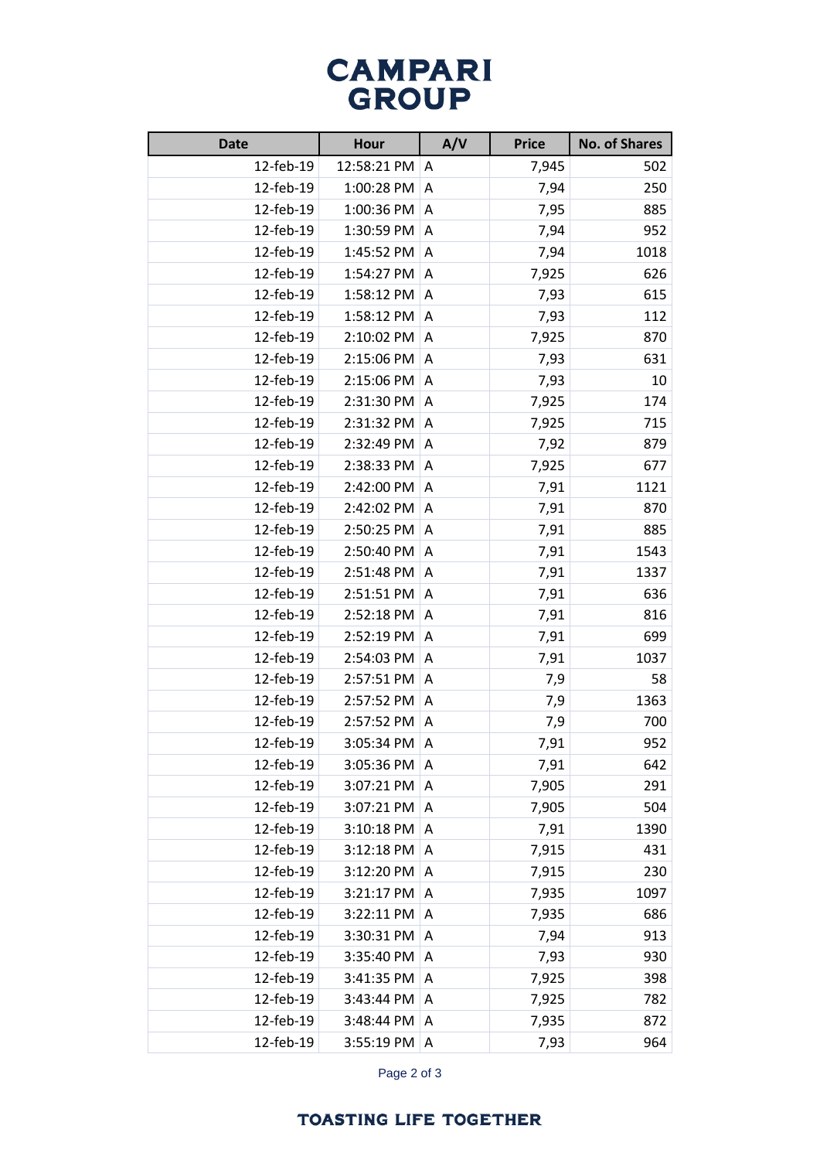# **CAMPARI**<br>GROUP

| <b>Date</b> | Hour        | A/V | <b>Price</b> | <b>No. of Shares</b> |
|-------------|-------------|-----|--------------|----------------------|
| 12-feb-19   | 12:58:21 PM | A   | 7,945        | 502                  |
| 12-feb-19   | 1:00:28 PM  | A   | 7,94         | 250                  |
| 12-feb-19   | 1:00:36 PM  | A   | 7,95         | 885                  |
| 12-feb-19   | 1:30:59 PM  | A   | 7,94         | 952                  |
| 12-feb-19   | 1:45:52 PM  | A   | 7,94         | 1018                 |
| 12-feb-19   | 1:54:27 PM  | A   | 7,925        | 626                  |
| 12-feb-19   | 1:58:12 PM  | A   | 7,93         | 615                  |
| 12-feb-19   | 1:58:12 PM  | A   | 7,93         | 112                  |
| 12-feb-19   | 2:10:02 PM  | A   | 7,925        | 870                  |
| 12-feb-19   | 2:15:06 PM  | A   | 7,93         | 631                  |
| 12-feb-19   | 2:15:06 PM  | A   | 7,93         | 10                   |
| 12-feb-19   | 2:31:30 PM  | A   | 7,925        | 174                  |
| 12-feb-19   | 2:31:32 PM  | A   | 7,925        | 715                  |
| 12-feb-19   | 2:32:49 PM  | A   | 7,92         | 879                  |
| 12-feb-19   | 2:38:33 PM  | A   | 7,925        | 677                  |
| 12-feb-19   | 2:42:00 PM  | A   | 7,91         | 1121                 |
| 12-feb-19   | 2:42:02 PM  | A   | 7,91         | 870                  |
| 12-feb-19   | 2:50:25 PM  | Α   | 7,91         | 885                  |
| 12-feb-19   | 2:50:40 PM  | A   | 7,91         | 1543                 |
| 12-feb-19   | 2:51:48 PM  | A   | 7,91         | 1337                 |
| 12-feb-19   | 2:51:51 PM  | A   | 7,91         | 636                  |
| 12-feb-19   | 2:52:18 PM  | Α   | 7,91         | 816                  |
| 12-feb-19   | 2:52:19 PM  | A   | 7,91         | 699                  |
| 12-feb-19   | 2:54:03 PM  | A   | 7,91         | 1037                 |
| 12-feb-19   | 2:57:51 PM  | A   | 7,9          | 58                   |
| 12-feb-19   | 2:57:52 PM  | A   | 7,9          | 1363                 |
| 12-feb-19   | 2:57:52 PM  | A   | 7,9          | 700                  |
| 12-feb-19   | 3:05:34 PM  | A   | 7,91         | 952                  |
| 12-feb-19   | 3:05:36 PM  | A   | 7,91         | 642                  |
| 12-feb-19   | 3:07:21 PM  | Α   | 7,905        | 291                  |
| 12-feb-19   | 3:07:21 PM  | A   | 7,905        | 504                  |
| 12-feb-19   | 3:10:18 PM  | A   | 7,91         | 1390                 |
| 12-feb-19   | 3:12:18 PM  | A   | 7,915        | 431                  |
| 12-feb-19   | 3:12:20 PM  | Α   | 7,915        | 230                  |
| 12-feb-19   | 3:21:17 PM  | A   | 7,935        | 1097                 |
| 12-feb-19   | 3:22:11 PM  | Α   | 7,935        | 686                  |
| 12-feb-19   | 3:30:31 PM  | A   | 7,94         | 913                  |
| 12-feb-19   | 3:35:40 PM  | A   | 7,93         | 930                  |
| 12-feb-19   | 3:41:35 PM  | Α   | 7,925        | 398                  |
| 12-feb-19   | 3:43:44 PM  | Α   | 7,925        | 782                  |
| 12-feb-19   | 3:48:44 PM  | A   | 7,935        | 872                  |
| 12-feb-19   | 3:55:19 PM  | A   | 7,93         | 964                  |

Page 2 of 3

### **TOASTING LIFE TOGETHER**